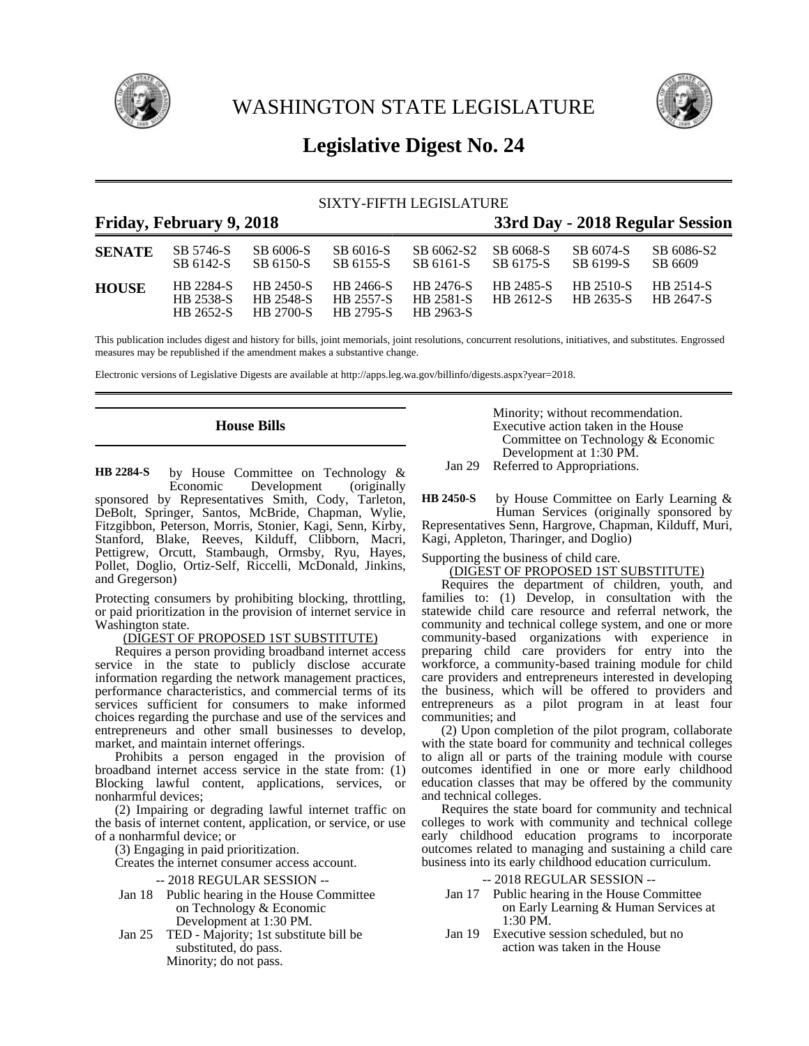

WASHINGTON STATE LEGISLATURE



# **Legislative Digest No. 24**

# SIXTY-FIFTH LEGISLATURE

# **Friday, February 9, 2018 33rd Day - 2018 Regular Session SENATE** SB 5746-S SB 6006-S SB 6016-S SB 6062-S2 SB 6068-S SB 6074-S SB 6086-S2 SB 6142-S SB 6150-S SB 6155-S SB 6161-S SB 6175-S SB 6199-S SB 6609 **HOUSE** HB 2284-S HB 2450-S HB 2466-S HB 2476-S HB 2485-S HB 2510-S HB 2514-S HB 2538-S HB 2548-S HB 2557-S HB 2581-S HB 2612-S HB 2635-S HB 2647-S HB 2795-S

This publication includes digest and history for bills, joint memorials, joint resolutions, concurrent resolutions, initiatives, and substitutes. Engrossed measures may be republished if the amendment makes a substantive change.

Electronic versions of Legislative Digests are available at http://apps.leg.wa.gov/billinfo/digests.aspx?year=2018.

# **House Bills**

by House Committee on Technology &<br>Economic Development (originally Development (originally sponsored by Representatives Smith, Cody, Tarleton, DeBolt, Springer, Santos, McBride, Chapman, Wylie, Fitzgibbon, Peterson, Morris, Stonier, Kagi, Senn, Kirby, Stanford, Blake, Reeves, Kilduff, Clibborn, Macri, Pettigrew, Orcutt, Stambaugh, Ormsby, Ryu, Hayes, Pollet, Doglio, Ortiz-Self, Riccelli, McDonald, Jinkins, and Gregerson) **HB 2284-S**

Protecting consumers by prohibiting blocking, throttling, or paid prioritization in the provision of internet service in Washington state.

# (DIGEST OF PROPOSED 1ST SUBSTITUTE)

Requires a person providing broadband internet access service in the state to publicly disclose accurate information regarding the network management practices, performance characteristics, and commercial terms of its services sufficient for consumers to make informed choices regarding the purchase and use of the services and entrepreneurs and other small businesses to develop, market, and maintain internet offerings.

Prohibits a person engaged in the provision of broadband internet access service in the state from: (1) Blocking lawful content, applications, services, or nonharmful devices;

(2) Impairing or degrading lawful internet traffic on the basis of internet content, application, or service, or use of a nonharmful device; or

(3) Engaging in paid prioritization.

Creates the internet consumer access account.

-- 2018 REGULAR SESSION --

- Jan 18 Public hearing in the House Committee on Technology & Economic Development at 1:30 PM.
- Jan 25 TED Majority; 1st substitute bill be substituted, do pass. Minority; do not pass.

Minority; without recommendation. Executive action taken in the House Committee on Technology & Economic Development at 1:30 PM. Jan 29 Referred to Appropriations.

by House Committee on Early Learning & Human Services (originally sponsored by Representatives Senn, Hargrove, Chapman, Kilduff, Muri, Kagi, Appleton, Tharinger, and Doglio) **HB 2450-S**

Supporting the business of child care.

# (DIGEST OF PROPOSED 1ST SUBSTITUTE)

Requires the department of children, youth, and families to: (1) Develop, in consultation with the statewide child care resource and referral network, the community and technical college system, and one or more community-based organizations with experience in preparing child care providers for entry into the workforce, a community-based training module for child care providers and entrepreneurs interested in developing the business, which will be offered to providers and entrepreneurs as a pilot program in at least four communities; and

(2) Upon completion of the pilot program, collaborate with the state board for community and technical colleges to align all or parts of the training module with course outcomes identified in one or more early childhood education classes that may be offered by the community and technical colleges.

Requires the state board for community and technical colleges to work with community and technical college early childhood education programs to incorporate outcomes related to managing and sustaining a child care business into its early childhood education curriculum.

- Jan 17 Public hearing in the House Committee on Early Learning & Human Services at 1:30 PM.
- Jan 19 Executive session scheduled, but no action was taken in the House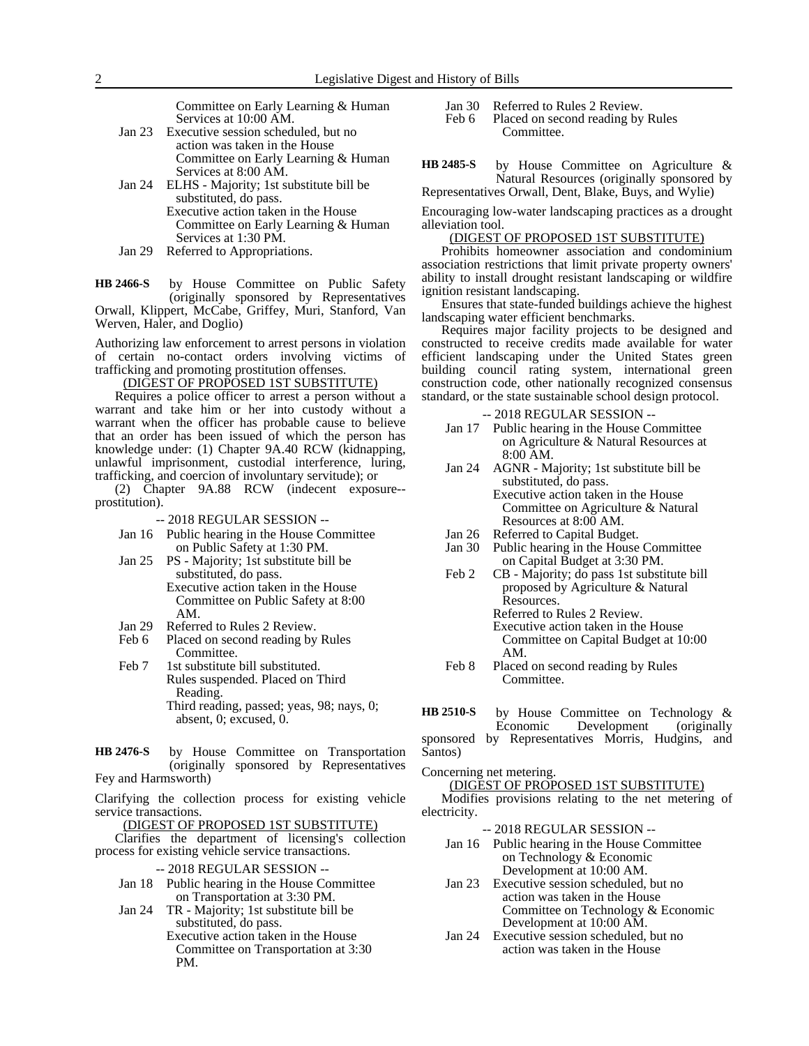Committee on Early Learning & Human Services at 10:00 AM.

- Jan 23 Executive session scheduled, but no action was taken in the House Committee on Early Learning & Human Services at 8:00 AM.
- Jan 24 ELHS Majority; 1st substitute bill be substituted, do pass. Executive action taken in the House Committee on Early Learning & Human Services at 1:30 PM.
- Jan 29 Referred to Appropriations.

by House Committee on Public Safety (originally sponsored by Representatives Orwall, Klippert, McCabe, Griffey, Muri, Stanford, Van Werven, Haler, and Doglio) **HB 2466-S**

Authorizing law enforcement to arrest persons in violation of certain no-contact orders involving victims of trafficking and promoting prostitution offenses.

### (DIGEST OF PROPOSED 1ST SUBSTITUTE)

Requires a police officer to arrest a person without a warrant and take him or her into custody without a warrant when the officer has probable cause to believe that an order has been issued of which the person has knowledge under: (1) Chapter 9A.40 RCW (kidnapping, unlawful imprisonment, custodial interference, luring, trafficking, and coercion of involuntary servitude); or

(2) Chapter 9A.88 RCW (indecent exposure- prostitution).

-- 2018 REGULAR SESSION --

- Jan 16 Public hearing in the House Committee on Public Safety at 1:30 PM.
- Jan 25 PS Majority; 1st substitute bill be substituted, do pass. Executive action taken in the House Committee on Public Safety at 8:00 AM.
- Jan 29 Referred to Rules 2 Review.
- Feb 6 Placed on second reading by Rules Committee.
- Feb 7 1st substitute bill substituted. Rules suspended. Placed on Third Reading. Third reading, passed; yeas, 98; nays, 0; absent, 0; excused, 0.

by House Committee on Transportation (originally sponsored by Representatives Fey and Harmsworth) **HB 2476-S**

Clarifying the collection process for existing vehicle service transactions.

(DIGEST OF PROPOSED 1ST SUBSTITUTE)

Clarifies the department of licensing's collection process for existing vehicle service transactions.

-- 2018 REGULAR SESSION --

- Jan 18 Public hearing in the House Committee on Transportation at 3:30 PM.
- Jan 24 TR Majority; 1st substitute bill be substituted, do pass. Executive action taken in the House Committee on Transportation at 3:30 PM.

Jan 30 Referred to Rules 2 Review.

Feb 6 Placed on second reading by Rules Committee.

by House Committee on Agriculture & Natural Resources (originally sponsored by Representatives Orwall, Dent, Blake, Buys, and Wylie) **HB 2485-S**

Encouraging low-water landscaping practices as a drought alleviation tool.

# (DIGEST OF PROPOSED 1ST SUBSTITUTE)

Prohibits homeowner association and condominium association restrictions that limit private property owners' ability to install drought resistant landscaping or wildfire ignition resistant landscaping.

Ensures that state-funded buildings achieve the highest landscaping water efficient benchmarks.

Requires major facility projects to be designed and constructed to receive credits made available for water efficient landscaping under the United States green building council rating system, international green construction code, other nationally recognized consensus standard, or the state sustainable school design protocol.

#### -- 2018 REGULAR SESSION --

- Jan 17 Public hearing in the House Committee on Agriculture & Natural Resources at 8:00 AM.
- Jan 24 AGNR Majority; 1st substitute bill be substituted, do pass. Executive action taken in the House Committee on Agriculture & Natural
	- Resources at 8:00 AM.
- Jan 26 Referred to Capital Budget. Jan 30 Public hearing in the House Committee
- on Capital Budget at 3:30 PM.
- Feb 2 CB Majority; do pass 1st substitute bill proposed by Agriculture & Natural Resources. Referred to Rules 2 Review.

Executive action taken in the House Committee on Capital Budget at 10:00 AM.

Feb 8 Placed on second reading by Rules Committee.

by House Committee on Technology &<br>Economic Development (originally Development **HB 2510-S**

sponsored by Representatives Morris, Hudgins, and Santos)

Concerning net metering.

(DIGEST OF PROPOSED 1ST SUBSTITUTE)

Modifies provisions relating to the net metering of electricity.

- Jan 16 Public hearing in the House Committee on Technology & Economic Development at 10:00 AM.
- Jan 23 Executive session scheduled, but no action was taken in the House Committee on Technology & Economic Development at 10:00 AM.
- Jan 24 Executive session scheduled, but no action was taken in the House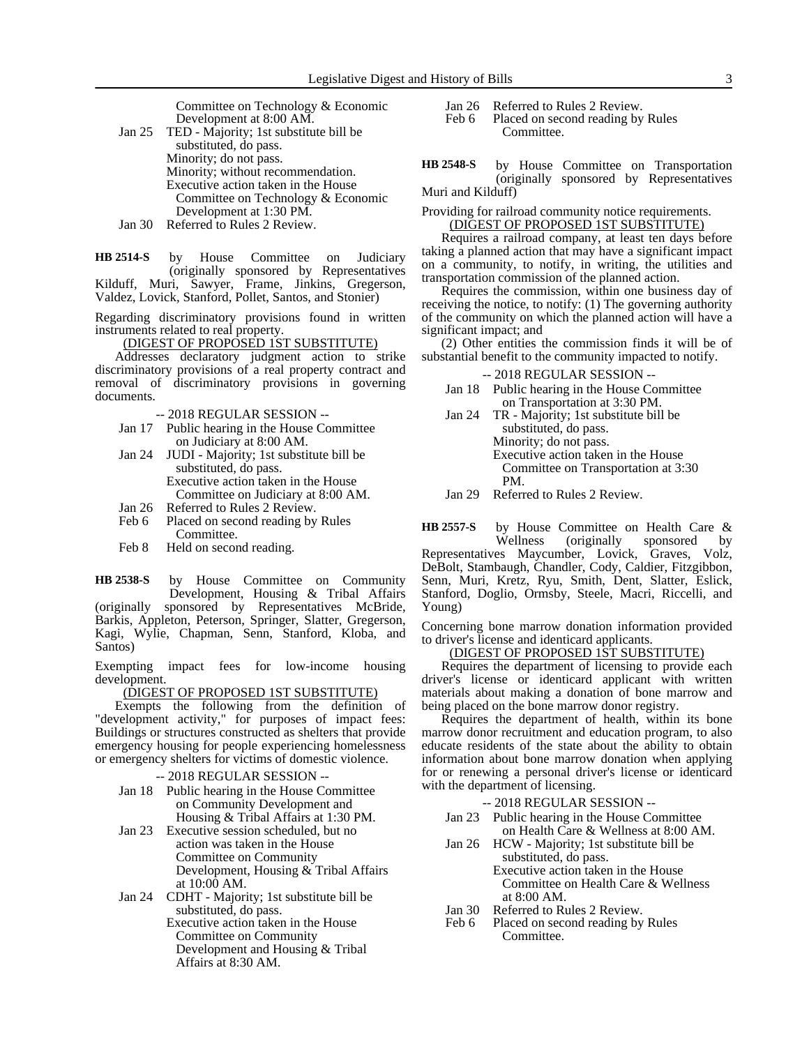Committee on Technology & Economic Development at 8:00 AM.

Jan 25 TED - Majority; 1st substitute bill be substituted, do pass. Minority; do not pass. Minority; without recommendation. Executive action taken in the House Committee on Technology & Economic Development at 1:30 PM. Jan 30 Referred to Rules 2 Review.

by House Committee on Judiciary (originally sponsored by Representatives Kilduff, Muri, Sawyer, Frame, Jinkins, Gregerson, Valdez, Lovick, Stanford, Pollet, Santos, and Stonier) **HB 2514-S**

Regarding discriminatory provisions found in written instruments related to real property.

(DIGEST OF PROPOSED 1ST SUBSTITUTE)

Addresses declaratory judgment action to strike discriminatory provisions of a real property contract and removal of discriminatory provisions in governing documents.

-- 2018 REGULAR SESSION --

- Jan 17 Public hearing in the House Committee on Judiciary at 8:00 AM.
- Jan 24 JUDI Majority; 1st substitute bill be substituted, do pass. Executive action taken in the House Committee on Judiciary at 8:00 AM.
- Jan 26 Referred to Rules 2 Review.<br>Feb 6 Placed on second reading by
- Placed on second reading by Rules Committee.
- Feb 8 Held on second reading.

by House Committee on Community Development, Housing & Tribal Affairs **HB 2538-S**

(originally sponsored by Representatives McBride, Barkis, Appleton, Peterson, Springer, Slatter, Gregerson, Kagi, Wylie, Chapman, Senn, Stanford, Kloba, and Santos)

Exempting impact fees for low-income housing development.

(DIGEST OF PROPOSED 1ST SUBSTITUTE)

Exempts the following from the definition of "development activity," for purposes of impact fees: Buildings or structures constructed as shelters that provide emergency housing for people experiencing homelessness or emergency shelters for victims of domestic violence.

-- 2018 REGULAR SESSION --

- Jan 18 Public hearing in the House Committee on Community Development and Housing & Tribal Affairs at 1:30 PM.
- Jan 23 Executive session scheduled, but no action was taken in the House Committee on Community Development, Housing & Tribal Affairs at 10:00 AM.
- Jan 24 CDHT Majority; 1st substitute bill be substituted, do pass. Executive action taken in the House
	- Committee on Community Development and Housing & Tribal Affairs at 8:30 AM.

Jan 26 Referred to Rules 2 Review.

Feb 6 Placed on second reading by Rules Committee.

by House Committee on Transportation (originally sponsored by Representatives Muri and Kilduff) **HB 2548-S**

Providing for railroad community notice requirements.

# (DIGEST OF PROPOSED 1ST SUBSTITUTE)

Requires a railroad company, at least ten days before taking a planned action that may have a significant impact on a community, to notify, in writing, the utilities and transportation commission of the planned action.

Requires the commission, within one business day of receiving the notice, to notify: (1) The governing authority of the community on which the planned action will have a significant impact; and

(2) Other entities the commission finds it will be of substantial benefit to the community impacted to notify.

-- 2018 REGULAR SESSION --

- Jan 18 Public hearing in the House Committee on Transportation at 3:30 PM.
- Jan 24 TR Majority; 1st substitute bill be substituted, do pass. Minority; do not pass. Executive action taken in the House Committee on Transportation at 3:30 PM.
- Jan 29 Referred to Rules 2 Review.

by House Committee on Health Care & Wellness (originally sponsored by Representatives Maycumber, Lovick, Graves, Volz, DeBolt, Stambaugh, Chandler, Cody, Caldier, Fitzgibbon, Senn, Muri, Kretz, Ryu, Smith, Dent, Slatter, Eslick, Stanford, Doglio, Ormsby, Steele, Macri, Riccelli, and Young) **HB 2557-S**

Concerning bone marrow donation information provided to driver's license and identicard applicants.

(DIGEST OF PROPOSED 1ST SUBSTITUTE)

Requires the department of licensing to provide each driver's license or identicard applicant with written materials about making a donation of bone marrow and being placed on the bone marrow donor registry.

Requires the department of health, within its bone marrow donor recruitment and education program, to also educate residents of the state about the ability to obtain information about bone marrow donation when applying for or renewing a personal driver's license or identicard with the department of licensing.

- Jan 23 Public hearing in the House Committee on Health Care & Wellness at 8:00 AM.
- Jan 26 HCW Majority; 1st substitute bill be substituted, do pass. Executive action taken in the House Committee on Health Care & Wellness
- at 8:00 AM. Jan 30 Referred to Rules 2 Review.
- Feb 6 Placed on second reading by Rules Committee.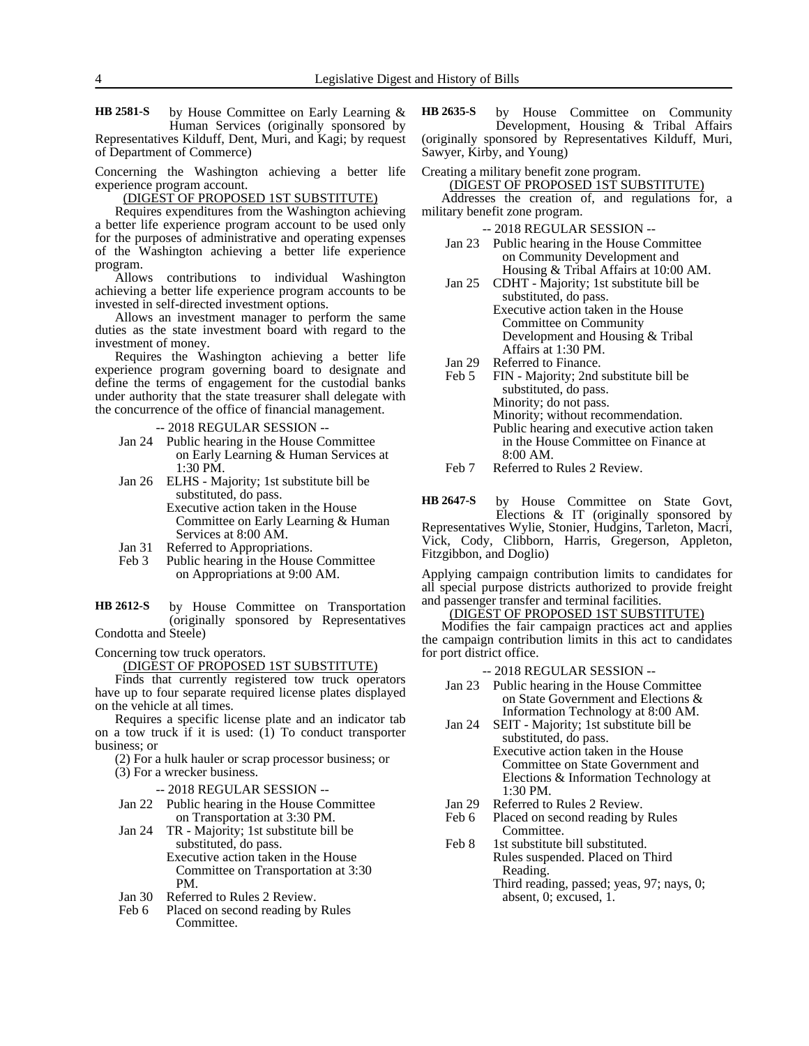by House Committee on Early Learning & Human Services (originally sponsored by Representatives Kilduff, Dent, Muri, and Kagi; by request of Department of Commerce) **HB 2581-S**

Concerning the Washington achieving a better life experience program account.

(DIGEST OF PROPOSED 1ST SUBSTITUTE)

Requires expenditures from the Washington achieving a better life experience program account to be used only for the purposes of administrative and operating expenses of the Washington achieving a better life experience program.

Allows contributions to individual Washington achieving a better life experience program accounts to be invested in self-directed investment options.

Allows an investment manager to perform the same duties as the state investment board with regard to the investment of money.

Requires the Washington achieving a better life experience program governing board to designate and define the terms of engagement for the custodial banks under authority that the state treasurer shall delegate with the concurrence of the office of financial management.

-- 2018 REGULAR SESSION --

- Jan 24 Public hearing in the House Committee on Early Learning & Human Services at 1:30 PM.
- Jan 26 ELHS Majority; 1st substitute bill be substituted, do pass. Executive action taken in the House Committee on Early Learning & Human
- Services at 8:00 AM. Jan 31 Referred to Appropriations.
- Feb 3 Public hearing in the House Committee on Appropriations at 9:00 AM.

by House Committee on Transportation (originally sponsored by Representatives Condotta and Steele) **HB 2612-S**

Concerning tow truck operators.

(DIGEST OF PROPOSED 1ST SUBSTITUTE)

Finds that currently registered tow truck operators have up to four separate required license plates displayed on the vehicle at all times.

Requires a specific license plate and an indicator tab on a tow truck if it is used:  $(1)$  To conduct transporter business; or

- (2) For a hulk hauler or scrap processor business; or
- (3) For a wrecker business.

-- 2018 REGULAR SESSION --

- Jan 22 Public hearing in the House Committee on Transportation at 3:30 PM.
- Jan 24 TR Majority; 1st substitute bill be substituted, do pass. Executive action taken in the House Committee on Transportation at 3:30 PM.
- Jan 30 Referred to Rules 2 Review.
- Feb 6 Placed on second reading by Rules Committee.

by House Committee on Community Development, Housing & Tribal Affairs (originally sponsored by Representatives Kilduff, Muri, Sawyer, Kirby, and Young) **HB 2635-S**

Creating a military benefit zone program. (DIGEST OF PROPOSED 1ST SUBSTITUTE)

Addresses the creation of, and regulations for, a military benefit zone program.

-- 2018 REGULAR SESSION --

- Jan 23 Public hearing in the House Committee on Community Development and Housing & Tribal Affairs at 10:00 AM.
- Jan 25 CDHT Majority; 1st substitute bill be substituted, do pass. Executive action taken in the House Committee on Community Development and Housing & Tribal Affairs at 1:30 PM.
	-
- Jan 29 Referred to Finance.<br>Feb 5 FIN Majority; 2nd FIN - Majority; 2nd substitute bill be substituted, do pass. Minority; do not pass. Minority; without recommendation. Public hearing and executive action taken in the House Committee on Finance at 8:00 AM.
- Feb 7 Referred to Rules 2 Review.

by House Committee on State Govt, Elections & IT (originally sponsored by Representatives Wylie, Stonier, Hudgins, Tarleton, Macri, Vick, Cody, Clibborn, Harris, Gregerson, Appleton, Fitzgibbon, and Doglio) **HB 2647-S**

Applying campaign contribution limits to candidates for all special purpose districts authorized to provide freight and passenger transfer and terminal facilities.

#### (DIGEST OF PROPOSED 1ST SUBSTITUTE)

Modifies the fair campaign practices act and applies the campaign contribution limits in this act to candidates for port district office.

- -- 2018 REGULAR SESSION --
- Jan 23 Public hearing in the House Committee on State Government and Elections & Information Technology at 8:00 AM.
- Jan 24 SEIT Majority; 1st substitute bill be substituted, do pass.
	- Executive action taken in the House Committee on State Government and Elections & Information Technology at 1:30 PM.
- Jan 29 Referred to Rules 2 Review.
- Feb 6 Placed on second reading by Rules Committee.

absent, 0; excused, 1.

Feb 8 1st substitute bill substituted. Rules suspended. Placed on Third Reading. Third reading, passed; yeas, 97; nays, 0;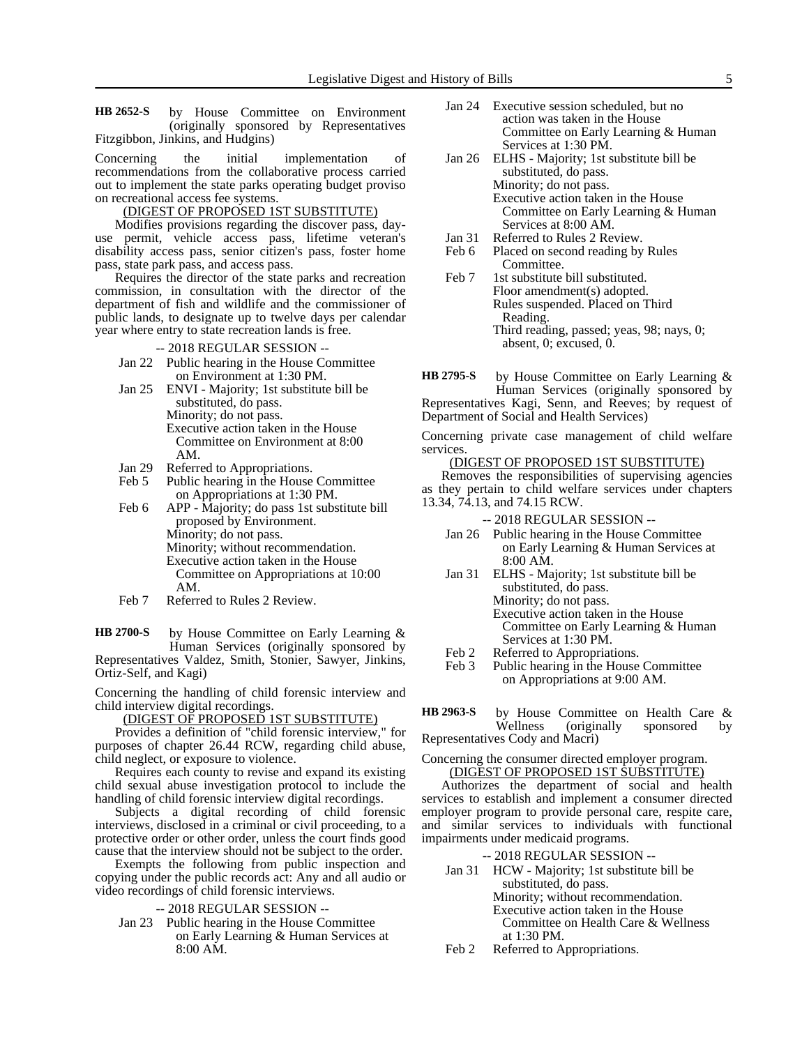by House Committee on Environment (originally sponsored by Representatives Fitzgibbon, Jinkins, and Hudgins) **HB 2652-S**

Concerning the initial implementation of recommendations from the collaborative process carried out to implement the state parks operating budget proviso on recreational access fee systems.

# (DIGEST OF PROPOSED 1ST SUBSTITUTE)

Modifies provisions regarding the discover pass, dayuse permit, vehicle access pass, lifetime veteran's disability access pass, senior citizen's pass, foster home pass, state park pass, and access pass.

Requires the director of the state parks and recreation commission, in consultation with the director of the department of fish and wildlife and the commissioner of public lands, to designate up to twelve days per calendar year where entry to state recreation lands is free.

#### -- 2018 REGULAR SESSION --

- Jan 22 Public hearing in the House Committee on Environment at 1:30 PM.
- Jan 25 ENVI Majority; 1st substitute bill be substituted, do pass. Minority; do not pass. Executive action taken in the House Committee on Environment at 8:00 AM.
- Jan 29 Referred to Appropriations.<br>Feb 5 Public hearing in the House
- Public hearing in the House Committee on Appropriations at 1:30 PM.
- Feb 6 APP Majority; do pass 1st substitute bill proposed by Environment. Minority; do not pass. Minority; without recommendation. Executive action taken in the House Committee on Appropriations at 10:00 AM.
- Feb 7 Referred to Rules 2 Review.

by House Committee on Early Learning & Human Services (originally sponsored by Representatives Valdez, Smith, Stonier, Sawyer, Jinkins, Ortiz-Self, and Kagi) **HB 2700-S**

Concerning the handling of child forensic interview and child interview digital recordings.

# <u>(DIGEST OF PROPOSED 1ST SUBSTITUTE)</u>

Provides a definition of "child forensic interview," for purposes of chapter 26.44 RCW, regarding child abuse, child neglect, or exposure to violence.

Requires each county to revise and expand its existing child sexual abuse investigation protocol to include the handling of child forensic interview digital recordings.

Subjects a digital recording of child forensic interviews, disclosed in a criminal or civil proceeding, to a protective order or other order, unless the court finds good cause that the interview should not be subject to the order.

Exempts the following from public inspection and copying under the public records act: Any and all audio or video recordings of child forensic interviews.

- -- 2018 REGULAR SESSION --
- Jan 23 Public hearing in the House Committee on Early Learning & Human Services at 8:00 AM.
- Jan 24 Executive session scheduled, but no action was taken in the House Committee on Early Learning & Human Services at 1:30 PM.
- Jan 26 ELHS Majority; 1st substitute bill be substituted, do pass. Minority; do not pass. Executive action taken in the House Committee on Early Learning & Human Services at 8:00 AM.
- Jan 31 Referred to Rules 2 Review.
- Feb 6 Placed on second reading by Rules Committee.
- Feb 7 1st substitute bill substituted. Floor amendment(s) adopted. Rules suspended. Placed on Third Reading. Third reading, passed; yeas, 98; nays, 0; absent, 0; excused, 0.

by House Committee on Early Learning & Human Services (originally sponsored by Representatives Kagi, Senn, and Reeves; by request of Department of Social and Health Services) **HB 2795-S**

Concerning private case management of child welfare services.

### (DIGEST OF PROPOSED 1ST SUBSTITUTE)

Removes the responsibilities of supervising agencies as they pertain to child welfare services under chapters 13.34, 74.13, and 74.15 RCW.

- -- 2018 REGULAR SESSION --
- Jan 26 Public hearing in the House Committee on Early Learning & Human Services at 8:00 AM.
- Jan 31 ELHS Majority; 1st substitute bill be substituted, do pass. Minority; do not pass.
	- Executive action taken in the House Committee on Early Learning & Human Services at 1:30 PM.
- Feb 2 Referred to Appropriations.<br>Feb 3 Public hearing in the House
- Public hearing in the House Committee on Appropriations at 9:00 AM.

by House Committee on Health Care & Wellness (originally sponsored by sponsored by **HB 2963-S**

Representatives Cody and Macri)

### Concerning the consumer directed employer program. (DIGEST OF PROPOSED 1ST SUBSTITUTE)

Authorizes the department of social and health services to establish and implement a consumer directed employer program to provide personal care, respite care, and similar services to individuals with functional impairments under medicaid programs.

- Jan 31 HCW Majority; 1st substitute bill be substituted, do pass. Minority; without recommendation. Executive action taken in the House Committee on Health Care & Wellness at 1:30 PM.
- Feb 2 Referred to Appropriations.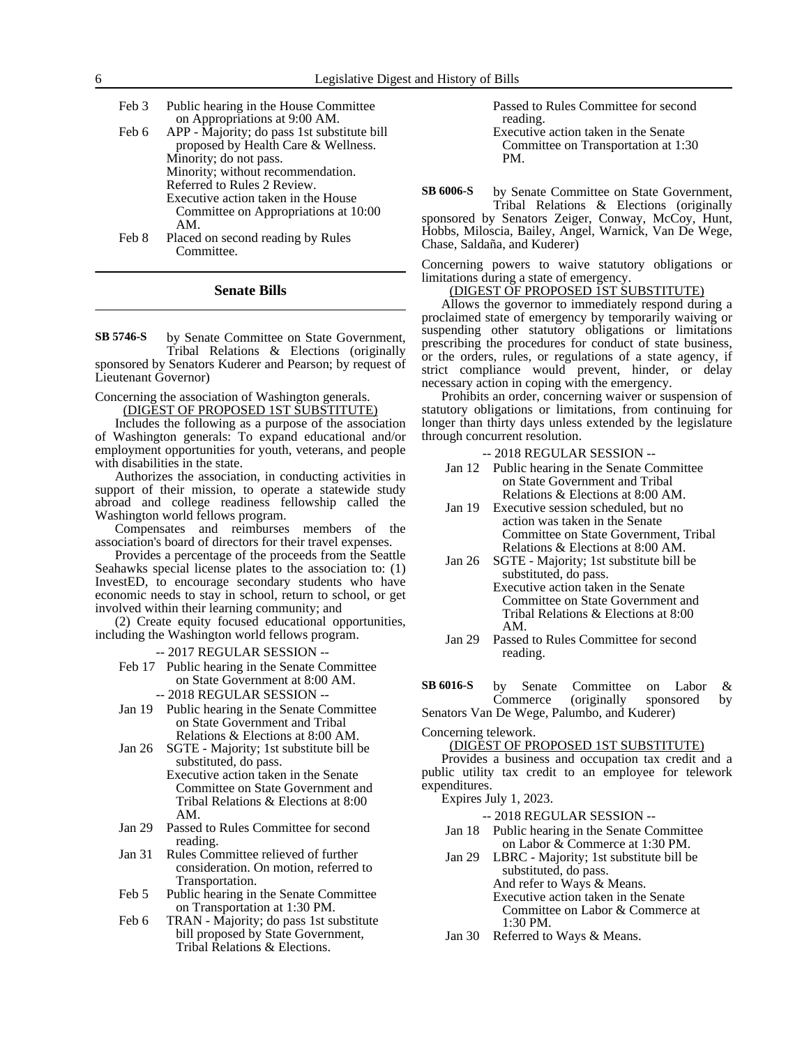| Feb 3 | Public hearing in the House Committee       |
|-------|---------------------------------------------|
|       | on Appropriations at 9:00 AM.               |
| Feb 6 | APP - Majority; do pass 1st substitute bill |
|       | proposed by Health Care & Wellness.         |
|       | Minority; do not pass.                      |
|       | Minority; without recommendation.           |
|       | Referred to Rules 2 Review.                 |
|       | Executive action taken in the House         |
|       | Committee on Appropriations at 10:00        |
|       | AM.                                         |
| Feb 8 | Placed on second reading by Rules           |

**Senate Bills**

Committee.

by Senate Committee on State Government, Tribal Relations & Elections (originally sponsored by Senators Kuderer and Pearson; by request of **SB 5746-S**

Lieutenant Governor)

Concerning the association of Washington generals.

(DIGEST OF PROPOSED 1ST SUBSTITUTE)

Includes the following as a purpose of the association of Washington generals: To expand educational and/or employment opportunities for youth, veterans, and people with disabilities in the state.

Authorizes the association, in conducting activities in support of their mission, to operate a statewide study abroad and college readiness fellowship called the Washington world fellows program.

Compensates and reimburses members of the association's board of directors for their travel expenses.

Provides a percentage of the proceeds from the Seattle Seahawks special license plates to the association to: (1) InvestED, to encourage secondary students who have economic needs to stay in school, return to school, or get involved within their learning community; and

(2) Create equity focused educational opportunities, including the Washington world fellows program.

-- 2017 REGULAR SESSION --

Feb 17 Public hearing in the Senate Committee on State Government at 8:00 AM.

-- 2018 REGULAR SESSION --

- Jan 19 Public hearing in the Senate Committee on State Government and Tribal Relations & Elections at 8:00 AM.
- Jan 26 SGTE Majority; 1st substitute bill be substituted, do pass.
	- Executive action taken in the Senate Committee on State Government and Tribal Relations & Elections at 8:00 AM.
- Jan 29 Passed to Rules Committee for second reading.
- Jan 31 Rules Committee relieved of further consideration. On motion, referred to Transportation.
- Feb 5 Public hearing in the Senate Committee on Transportation at 1:30 PM.
- Feb 6 TRAN Majority; do pass 1st substitute bill proposed by State Government, Tribal Relations & Elections.

Passed to Rules Committee for second reading.

Executive action taken in the Senate Committee on Transportation at 1:30 PM.

by Senate Committee on State Government, **SB 6006-S**

Tribal Relations & Elections (originally sponsored by Senators Zeiger, Conway, McCoy, Hunt, Hobbs, Miloscia, Bailey, Angel, Warnick, Van De Wege, Chase, Saldaña, and Kuderer)

Concerning powers to waive statutory obligations or limitations during a state of emergency.

# (DIGEST OF PROPOSED 1ST SUBSTITUTE)

Allows the governor to immediately respond during a proclaimed state of emergency by temporarily waiving or suspending other statutory obligations or limitations prescribing the procedures for conduct of state business, or the orders, rules, or regulations of a state agency, if strict compliance would prevent, hinder, or delay necessary action in coping with the emergency.

Prohibits an order, concerning waiver or suspension of statutory obligations or limitations, from continuing for longer than thirty days unless extended by the legislature through concurrent resolution.

-- 2018 REGULAR SESSION --

- Jan 12 Public hearing in the Senate Committee on State Government and Tribal Relations & Elections at 8:00 AM.
- Jan 19 Executive session scheduled, but no action was taken in the Senate Committee on State Government, Tribal Relations & Elections at 8:00 AM.
- Jan 26 SGTE Majority; 1st substitute bill be substituted, do pass. Executive action taken in the Senate Committee on State Government and Tribal Relations & Elections at 8:00 AM.
- Jan 29 Passed to Rules Committee for second reading.

by Senate Committee on Labor & Commerce (originally sponsored by Senators Van De Wege, Palumbo, and Kuderer) **SB 6016-S**

Concerning telework.

(DIGEST OF PROPOSED 1ST SUBSTITUTE)

Provides a business and occupation tax credit and a public utility tax credit to an employee for telework expenditures.

Expires July 1, 2023.

-- 2018 REGULAR SESSION --

- Jan 18 Public hearing in the Senate Committee on Labor & Commerce at 1:30 PM.
- Jan 29 LBRC Majority; 1st substitute bill be substituted, do pass. And refer to Ways & Means. Executive action taken in the Senate Committee on Labor & Commerce at 1:30 PM.

Jan 30 Referred to Ways & Means.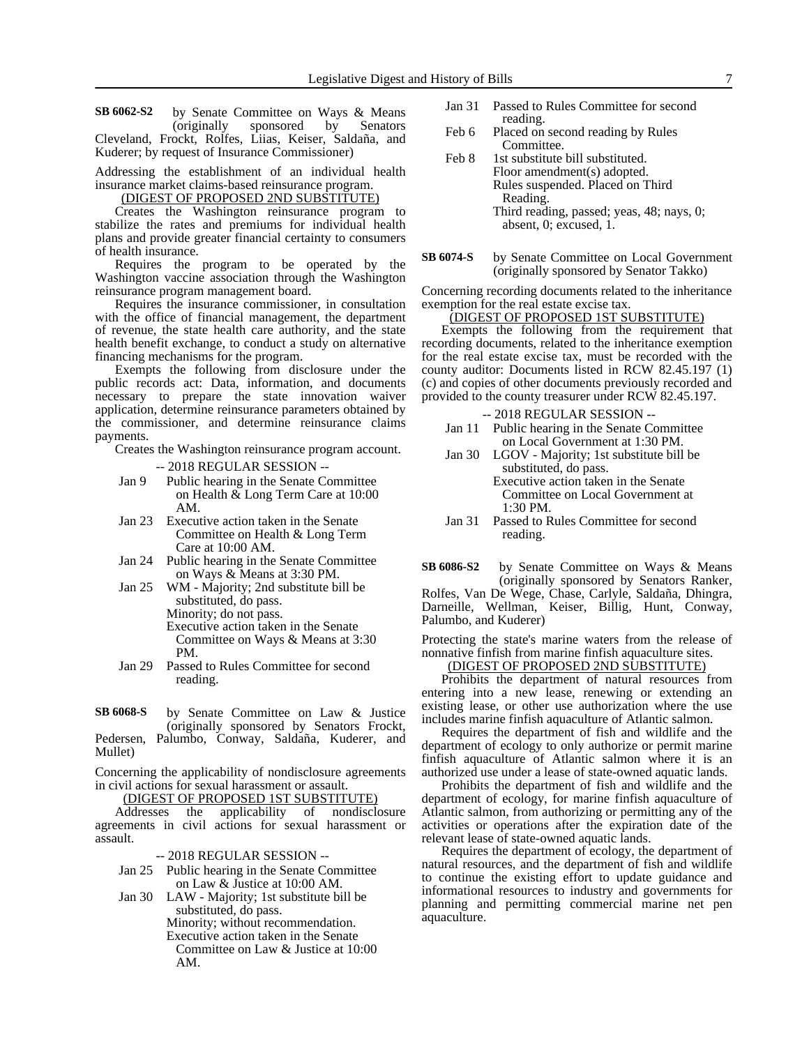by Senate Committee on Ways & Means (originally sponsored by Senators Cleveland, Frockt, Rolfes, Liias, Keiser, Saldaña, and Kuderer; by request of Insurance Commissioner) **SB 6062-S2**

Addressing the establishment of an individual health insurance market claims-based reinsurance program.

(DIGEST OF PROPOSED 2ND SUBSTITUTE)

Creates the Washington reinsurance program to stabilize the rates and premiums for individual health plans and provide greater financial certainty to consumers of health insurance.

Requires the program to be operated by the Washington vaccine association through the Washington reinsurance program management board.

Requires the insurance commissioner, in consultation with the office of financial management, the department of revenue, the state health care authority, and the state health benefit exchange, to conduct a study on alternative financing mechanisms for the program.

Exempts the following from disclosure under the public records act: Data, information, and documents necessary to prepare the state innovation waiver application, determine reinsurance parameters obtained by the commissioner, and determine reinsurance claims payments.

Creates the Washington reinsurance program account.

-- 2018 REGULAR SESSION --

- Jan 9 Public hearing in the Senate Committee on Health & Long Term Care at 10:00 AM.
- Jan 23 Executive action taken in the Senate Committee on Health & Long Term Care at 10:00 AM.
- Jan 24 Public hearing in the Senate Committee on Ways & Means at 3:30 PM.
- Jan 25 WM Majority; 2nd substitute bill be substituted, do pass. Minority; do not pass. Executive action taken in the Senate Committee on Ways & Means at 3:30 PM.
- Jan 29 Passed to Rules Committee for second reading.
- by Senate Committee on Law & Justice (originally sponsored by Senators Frockt, Pedersen, Palumbo, Conway, Saldaña, Kuderer, and Mullet) **SB 6068-S**

Concerning the applicability of nondisclosure agreements in civil actions for sexual harassment or assault.

(DIGEST OF PROPOSED 1ST SUBSTITUTE)

Addresses the applicability of nondisclosure agreements in civil actions for sexual harassment or assault.

-- 2018 REGULAR SESSION --

- Jan 25 Public hearing in the Senate Committee on Law & Justice at 10:00 AM.
- Jan 30 LAW Majority; 1st substitute bill be substituted, do pass. Minority; without recommendation. Executive action taken in the Senate Committee on Law & Justice at 10:00 AM.
- Jan 31 Passed to Rules Committee for second reading.
- Feb 6 Placed on second reading by Rules Committee.
- Feb 8 1st substitute bill substituted. Floor amendment(s) adopted. Rules suspended. Placed on Third Reading. Third reading, passed; yeas, 48; nays, 0; absent, 0; excused, 1.
- by Senate Committee on Local Government (originally sponsored by Senator Takko) **SB 6074-S**

Concerning recording documents related to the inheritance exemption for the real estate excise tax.

### (DIGEST OF PROPOSED 1ST SUBSTITUTE)

Exempts the following from the requirement that recording documents, related to the inheritance exemption for the real estate excise tax, must be recorded with the county auditor: Documents listed in RCW 82.45.197 (1) (c) and copies of other documents previously recorded and provided to the county treasurer under RCW 82.45.197.

### -- 2018 REGULAR SESSION --

- Jan 11 Public hearing in the Senate Committee on Local Government at 1:30 PM.
- Jan 30 LGOV Majority; 1st substitute bill be substituted, do pass. Executive action taken in the Senate Committee on Local Government at

1:30 PM.

Jan 31 Passed to Rules Committee for second reading.

by Senate Committee on Ways & Means (originally sponsored by Senators Ranker, Rolfes, Van De Wege, Chase, Carlyle, Saldaña, Dhingra, Darneille, Wellman, Keiser, Billig, Hunt, Conway, Palumbo, and Kuderer) **SB 6086-S2**

Protecting the state's marine waters from the release of nonnative finfish from marine finfish aquaculture sites.

(DIGEST OF PROPOSED 2ND SUBSTITUTE)

Prohibits the department of natural resources from entering into a new lease, renewing or extending an existing lease, or other use authorization where the use includes marine finfish aquaculture of Atlantic salmon.

Requires the department of fish and wildlife and the department of ecology to only authorize or permit marine finfish aquaculture of Atlantic salmon where it is an authorized use under a lease of state-owned aquatic lands.

Prohibits the department of fish and wildlife and the department of ecology, for marine finfish aquaculture of Atlantic salmon, from authorizing or permitting any of the activities or operations after the expiration date of the relevant lease of state-owned aquatic lands.

Requires the department of ecology, the department of natural resources, and the department of fish and wildlife to continue the existing effort to update guidance and informational resources to industry and governments for planning and permitting commercial marine net pen aquaculture.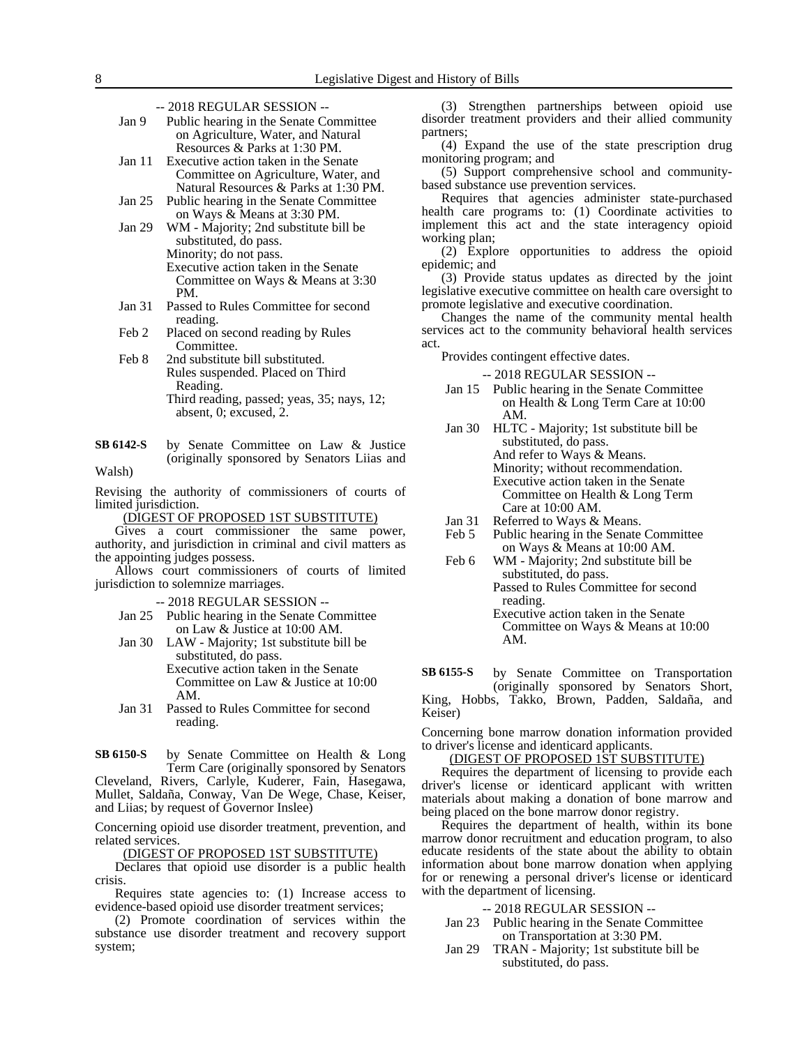- Jan 9 Public hearing in the Senate Committee on Agriculture, Water, and Natural Resources & Parks at 1:30 PM.
- Jan 11 Executive action taken in the Senate Committee on Agriculture, Water, and Natural Resources & Parks at 1:30 PM.
- Jan 25 Public hearing in the Senate Committee on Ways & Means at 3:30 PM.
- Jan 29 WM Majority; 2nd substitute bill be substituted, do pass.
	- Minority; do not pass. Executive action taken in the Senate Committee on Ways & Means at 3:30 PM.
- Jan 31 Passed to Rules Committee for second reading.
- Feb 2 Placed on second reading by Rules Committee.
- Feb 8 2nd substitute bill substituted. Rules suspended. Placed on Third Reading. Third reading, passed; yeas, 35; nays, 12; absent, 0; excused, 2.
- by Senate Committee on Law & Justice (originally sponsored by Senators Liias and Walsh) **SB 6142-S**

Revising the authority of commissioners of courts of limited jurisdiction.

(DIGEST OF PROPOSED 1ST SUBSTITUTE)

Gives a court commissioner the same power, authority, and jurisdiction in criminal and civil matters as the appointing judges possess.

Allows court commissioners of courts of limited jurisdiction to solemnize marriages.

- -- 2018 REGULAR SESSION --
- Jan 25 Public hearing in the Senate Committee on Law & Justice at 10:00 AM.
- Jan 30 LAW Majority; 1st substitute bill be substituted, do pass. Executive action taken in the Senate Committee on Law & Justice at 10:00 AM.
- Jan 31 Passed to Rules Committee for second reading.

by Senate Committee on Health & Long Term Care (originally sponsored by Senators **SB 6150-S**

Cleveland, Rivers, Carlyle, Kuderer, Fain, Hasegawa, Mullet, Saldaña, Conway, Van De Wege, Chase, Keiser, and Liias; by request of Governor Inslee)

Concerning opioid use disorder treatment, prevention, and related services.

(DIGEST OF PROPOSED 1ST SUBSTITUTE)

Declares that opioid use disorder is a public health crisis.

Requires state agencies to: (1) Increase access to evidence-based opioid use disorder treatment services;

(2) Promote coordination of services within the substance use disorder treatment and recovery support system;

(3) Strengthen partnerships between opioid use disorder treatment providers and their allied community partners;

(4) Expand the use of the state prescription drug monitoring program; and

(5) Support comprehensive school and communitybased substance use prevention services.

Requires that agencies administer state-purchased health care programs to: (1) Coordinate activities to implement this act and the state interagency opioid working plan;

(2) Explore opportunities to address the opioid epidemic; and

(3) Provide status updates as directed by the joint legislative executive committee on health care oversight to promote legislative and executive coordination.

Changes the name of the community mental health services act to the community behavioral health services act.

Provides contingent effective dates.

-- 2018 REGULAR SESSION --

- Jan 15 Public hearing in the Senate Committee on Health & Long Term Care at 10:00 AM.
- Jan 30 HLTC Majority; 1st substitute bill be substituted, do pass. And refer to Ways & Means. Minority; without recommendation. Executive action taken in the Senate Committee on Health & Long Term Care at 10:00 AM.
- Jan 31 Referred to Ways & Means.<br>Feb 5 Public hearing in the Senate
- Public hearing in the Senate Committee on Ways & Means at 10:00 AM.
- Feb 6 WM Majority; 2nd substitute bill be substituted, do pass. Passed to Rules Committee for second
	- reading. Executive action taken in the Senate Committee on Ways & Means at 10:00 AM.

by Senate Committee on Transportation (originally sponsored by Senators Short, King, Hobbs, Takko, Brown, Padden, Saldaña, and Keiser) **SB 6155-S**

Concerning bone marrow donation information provided to driver's license and identicard applicants.

(DIGEST OF PROPOSED 1ST SUBSTITUTE)

Requires the department of licensing to provide each driver's license or identicard applicant with written materials about making a donation of bone marrow and being placed on the bone marrow donor registry.

Requires the department of health, within its bone marrow donor recruitment and education program, to also educate residents of the state about the ability to obtain information about bone marrow donation when applying for or renewing a personal driver's license or identicard with the department of licensing.

- Jan 23 Public hearing in the Senate Committee on Transportation at 3:30 PM.
- Jan 29 TRAN Majority; 1st substitute bill be substituted, do pass.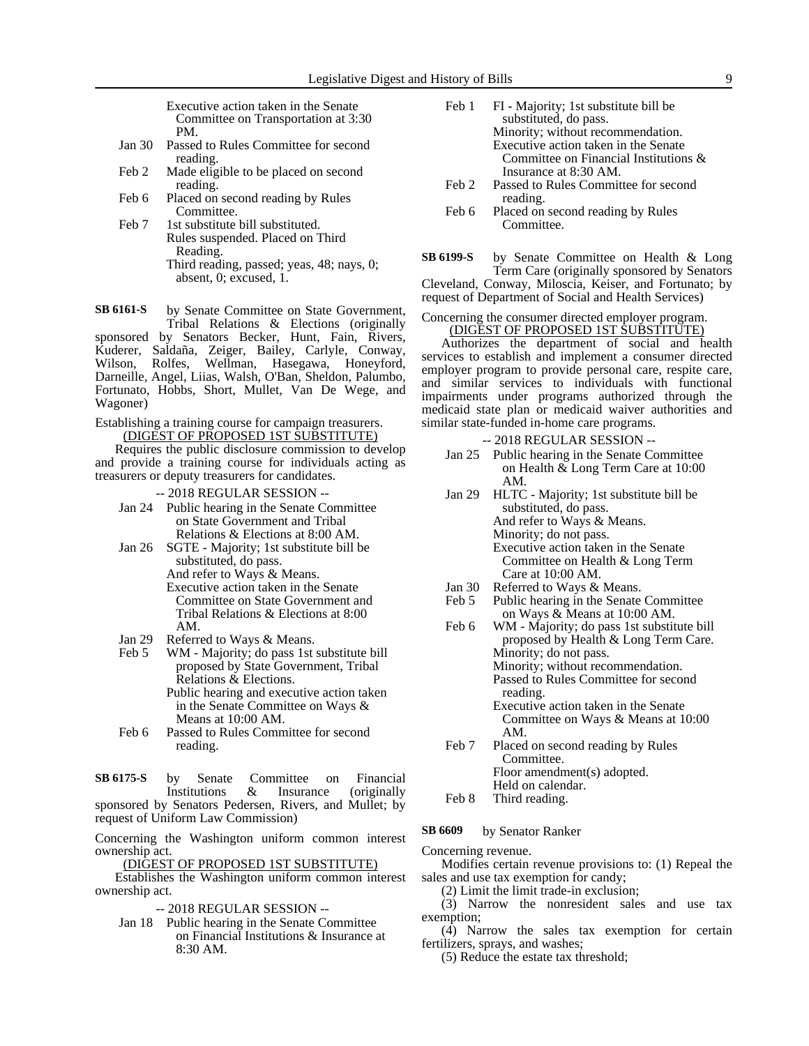Executive action taken in the Senate Committee on Transportation at 3:30 PM.

- Jan 30 Passed to Rules Committee for second reading.
- Feb 2 Made eligible to be placed on second reading.
- Feb 6 Placed on second reading by Rules Committee.
- Feb 7 1st substitute bill substituted. Rules suspended. Placed on Third Reading. Third reading, passed; yeas, 48; nays, 0; absent, 0; excused, 1.
- by Senate Committee on State Government, Tribal Relations & Elections (originally sponsored by Senators Becker, Hunt, Fain, Rivers, Kuderer, Saldaña, Zeiger, Bailey, Carlyle, Conway, Wilson, Rolfes, Wellman, Hasegawa, Honeyford, Darneille, Angel, Liias, Walsh, O'Ban, Sheldon, Palumbo, **SB 6161-S**

Fortunato, Hobbs, Short, Mullet, Van De Wege, and Wagoner) Establishing a training course for campaign treasurers.

(DIGEST OF PROPOSED 1ST SUBSTITUTE)

Requires the public disclosure commission to develop and provide a training course for individuals acting as treasurers or deputy treasurers for candidates.

- -- 2018 REGULAR SESSION --
- Jan 24 Public hearing in the Senate Committee on State Government and Tribal Relations & Elections at 8:00 AM.
- Jan 26 SGTE Majority; 1st substitute bill be substituted, do pass. And refer to Ways & Means. Executive action taken in the Senate Committee on State Government and
	- Tribal Relations & Elections at 8:00 AM.
- Jan 29 Referred to Ways & Means.<br>Feb 5 WM Majority; do pass 1st
- WM Majority; do pass 1st substitute bill proposed by State Government, Tribal Relations & Elections. Public hearing and executive action taken in the Senate Committee on Ways & Means at 10:00 AM.
- Feb 6 Passed to Rules Committee for second reading.

by Senate Committee on Financial<br>Institutions & Insurance (originally (originally sponsored by Senators Pedersen, Rivers, and Mullet; by request of Uniform Law Commission) **SB 6175-S**

Concerning the Washington uniform common interest ownership act.

(DIGEST OF PROPOSED 1ST SUBSTITUTE)

Establishes the Washington uniform common interest ownership act.

- -- 2018 REGULAR SESSION --
- Jan 18 Public hearing in the Senate Committee on Financial Institutions & Insurance at 8:30 AM.
- Feb 1 FI Majority; 1st substitute bill be substituted, do pass. Minority; without recommendation. Executive action taken in the Senate Committee on Financial Institutions & Insurance at 8:30 AM.
- Feb 2 Passed to Rules Committee for second reading.
- Feb 6 Placed on second reading by Rules Committee.

by Senate Committee on Health & Long Term Care (originally sponsored by Senators Cleveland, Conway, Miloscia, Keiser, and Fortunato; by request of Department of Social and Health Services) **SB 6199-S**

### Concerning the consumer directed employer program. (DIGEST OF PROPOSED 1ST SUBSTITUTE)

Authorizes the department of social and health services to establish and implement a consumer directed employer program to provide personal care, respite care, and similar services to individuals with functional impairments under programs authorized through the medicaid state plan or medicaid waiver authorities and similar state-funded in-home care programs.

-- 2018 REGULAR SESSION --

- Jan 25 Public hearing in the Senate Committee on Health & Long Term Care at 10:00 AM.
- Jan 29 HLTC Majority; 1st substitute bill be substituted, do pass. And refer to Ways & Means. Minority; do not pass. Executive action taken in the Senate Committee on Health & Long Term Care at 10:00 AM.
- Jan 30 Referred to Ways & Means.<br>Feb 5 Public hearing in the Senate Public hearing in the Senate Committee
- on Ways & Means at 10:00 AM.
- Feb 6 WM Majority; do pass 1st substitute bill proposed by Health & Long Term Care. Minority; do not pass. Minority; without recommendation. Passed to Rules Committee for second reading.
	- Executive action taken in the Senate Committee on Ways & Means at 10:00 AM.
- Feb 7 Placed on second reading by Rules Committee. Floor amendment(s) adopted. Held on calendar.
- Feb 8 Third reading.

by Senator Ranker **SB 6609**

Concerning revenue.

Modifies certain revenue provisions to: (1) Repeal the sales and use tax exemption for candy;

(2) Limit the limit trade-in exclusion;

(3) Narrow the nonresident sales and use tax exemption;

(4) Narrow the sales tax exemption for certain fertilizers, sprays, and washes;

(5) Reduce the estate tax threshold;